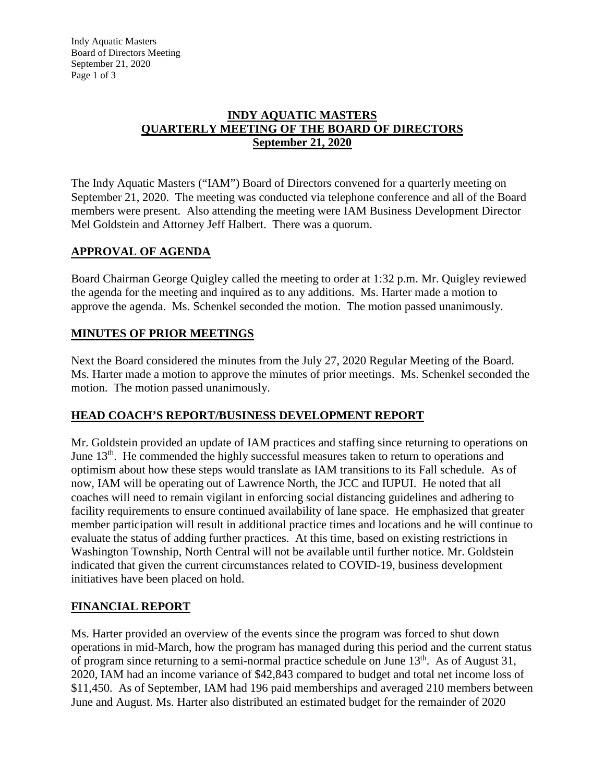Indy Aquatic Masters Board of Directors Meeting September 21, 2020 Page 1 of 3

### **INDY AQUATIC MASTERS QUARTERLY MEETING OF THE BOARD OF DIRECTORS September 21, 2020**

The Indy Aquatic Masters ("IAM") Board of Directors convened for a quarterly meeting on September 21, 2020. The meeting was conducted via telephone conference and all of the Board members were present. Also attending the meeting were IAM Business Development Director Mel Goldstein and Attorney Jeff Halbert. There was a quorum.

# **APPROVAL OF AGENDA**

Board Chairman George Quigley called the meeting to order at 1:32 p.m. Mr. Quigley reviewed the agenda for the meeting and inquired as to any additions. Ms. Harter made a motion to approve the agenda. Ms. Schenkel seconded the motion. The motion passed unanimously.

# **MINUTES OF PRIOR MEETINGS**

Next the Board considered the minutes from the July 27, 2020 Regular Meeting of the Board. Ms. Harter made a motion to approve the minutes of prior meetings. Ms. Schenkel seconded the motion. The motion passed unanimously.

# **HEAD COACH'S REPORT/BUSINESS DEVELOPMENT REPORT**

Mr. Goldstein provided an update of IAM practices and staffing since returning to operations on June  $13<sup>th</sup>$ . He commended the highly successful measures taken to return to operations and optimism about how these steps would translate as IAM transitions to its Fall schedule. As of now, IAM will be operating out of Lawrence North, the JCC and IUPUI. He noted that all coaches will need to remain vigilant in enforcing social distancing guidelines and adhering to facility requirements to ensure continued availability of lane space. He emphasized that greater member participation will result in additional practice times and locations and he will continue to evaluate the status of adding further practices. At this time, based on existing restrictions in Washington Township, North Central will not be available until further notice. Mr. Goldstein indicated that given the current circumstances related to COVID-19, business development initiatives have been placed on hold.

# **FINANCIAL REPORT**

Ms. Harter provided an overview of the events since the program was forced to shut down operations in mid-March, how the program has managed during this period and the current status of program since returning to a semi-normal practice schedule on June  $13<sup>th</sup>$ . As of August 31, 2020, IAM had an income variance of \$42,843 compared to budget and total net income loss of \$11,450. As of September, IAM had 196 paid memberships and averaged 210 members between June and August. Ms. Harter also distributed an estimated budget for the remainder of 2020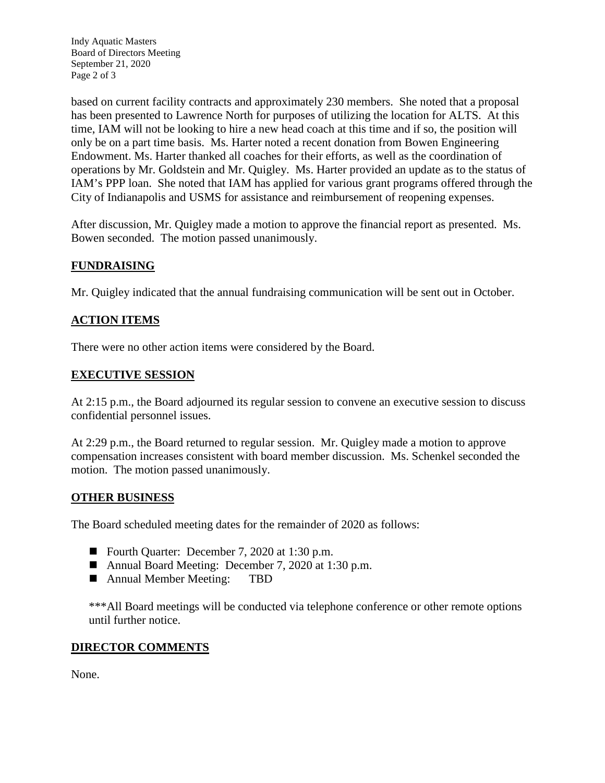Indy Aquatic Masters Board of Directors Meeting September 21, 2020 Page 2 of 3

based on current facility contracts and approximately 230 members. She noted that a proposal has been presented to Lawrence North for purposes of utilizing the location for ALTS. At this time, IAM will not be looking to hire a new head coach at this time and if so, the position will only be on a part time basis. Ms. Harter noted a recent donation from Bowen Engineering Endowment. Ms. Harter thanked all coaches for their efforts, as well as the coordination of operations by Mr. Goldstein and Mr. Quigley. Ms. Harter provided an update as to the status of IAM's PPP loan. She noted that IAM has applied for various grant programs offered through the City of Indianapolis and USMS for assistance and reimbursement of reopening expenses.

After discussion, Mr. Quigley made a motion to approve the financial report as presented. Ms. Bowen seconded. The motion passed unanimously.

# **FUNDRAISING**

Mr. Quigley indicated that the annual fundraising communication will be sent out in October.

# **ACTION ITEMS**

There were no other action items were considered by the Board.

#### **EXECUTIVE SESSION**

At 2:15 p.m., the Board adjourned its regular session to convene an executive session to discuss confidential personnel issues.

At 2:29 p.m., the Board returned to regular session. Mr. Quigley made a motion to approve compensation increases consistent with board member discussion. Ms. Schenkel seconded the motion. The motion passed unanimously.

#### **OTHER BUSINESS**

The Board scheduled meeting dates for the remainder of 2020 as follows:

- Fourth Quarter: December 7, 2020 at 1:30 p.m.
- Annual Board Meeting: December 7, 2020 at 1:30 p.m.
- Annual Member Meeting: TBD

\*\*\*All Board meetings will be conducted via telephone conference or other remote options until further notice.

#### **DIRECTOR COMMENTS**

None.